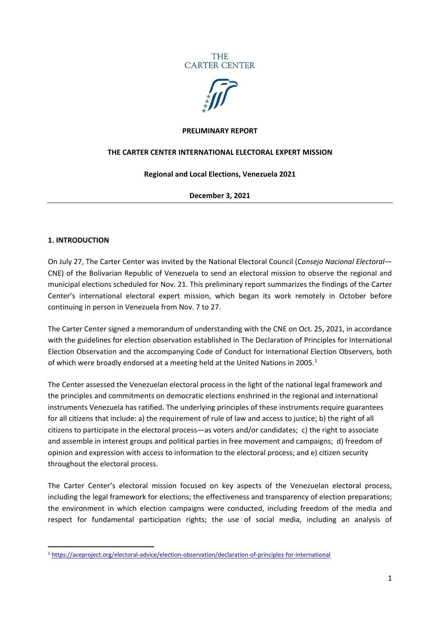



#### **PRELIMINARY REPORT**

#### **THE CARTER CENTER INTERNATIONAL ELECTORAL EXPERT MISSION**

#### **Regional and Local Elections, Venezuela 2021**

#### **December 3, 2021**

#### **1. INTRODUCTION**

On July 27, The Carter Center was invited by the National Electoral Council (*Consejo Nacional Electoral—* CNE) of the Bolivarian Republic of Venezuela to send an electoral mission to observe the regional and municipal elections scheduled for Nov. 21. This preliminary report summarizes the findings of the Carter Center's international electoral expert mission, which began its work remotely in October before continuing in person in Venezuela from Nov. 7 to 27.

The Carter Center signed a memorandum of understanding with the CNE on Oct. 25, 2021, in accordance with the guidelines for election observation established in The Declaration of Principles for International Election Observation and the accompanying Code of Conduct for International Election Observers, both of which were broadly endorsed at a meeting held at the United Nations in 2005.<sup>[1](#page-0-0)</sup>

The Center assessed the Venezuelan electoral process in the light of the national legal framework and the principles and commitments on democratic elections enshrined in the regional and international instruments Venezuela has ratified. The underlying principles of these instruments require guarantees for all citizens that include: a) the requirement of rule of law and access to justice; b) the right of all citizens to participate in the electoral process—as voters and/or candidates; c) the right to associate and assemble in interest groups and political parties in free movement and campaigns; d) freedom of opinion and expression with access to information to the electoral process; and e) citizen security throughout the electoral process.

The Carter Center's electoral mission focused on key aspects of the Venezuelan electoral process, including the legal framework for elections; the effectiveness and transparency of election preparations; the environment in which election campaigns were conducted, including freedom of the media and respect for fundamental participation rights; the use of social media, including an analysis of

<span id="page-0-0"></span><sup>1</sup> <https://aceproject.org/electoral-advice/election-observation/declaration-of-principles-for-international>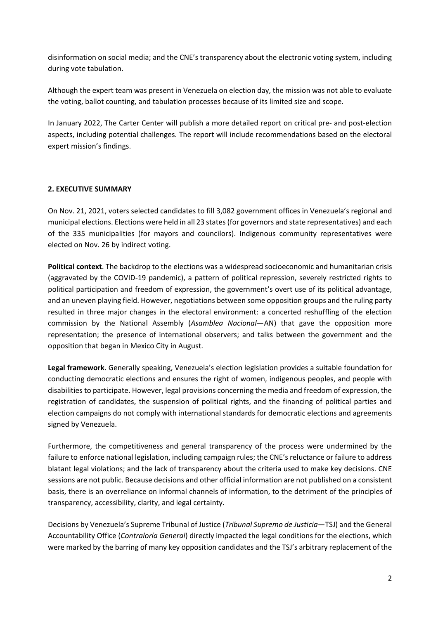disinformation on social media; and the CNE's transparency about the electronic voting system, including during vote tabulation.

Although the expert team was present in Venezuela on election day, the mission was not able to evaluate the voting, ballot counting, and tabulation processes because of its limited size and scope.

In January 2022, The Carter Center will publish a more detailed report on critical pre- and post-election aspects, including potential challenges. The report will include recommendations based on the electoral expert mission's findings.

# **2. EXECUTIVE SUMMARY**

On Nov. 21, 2021, voters selected candidates to fill 3,082 government offices in Venezuela's regional and municipal elections. Elections were held in all 23 states(for governors and state representatives) and each of the 335 municipalities (for mayors and councilors). Indigenous community representatives were elected on Nov. 26 by indirect voting.

**Political context**. The backdrop to the elections was a widespread socioeconomic and humanitarian crisis (aggravated by the COVID-19 pandemic), a pattern of political repression, severely restricted rights to political participation and freedom of expression, the government's overt use of its political advantage, and an uneven playing field. However, negotiations between some opposition groups and the ruling party resulted in three major changes in the electoral environment: a concerted reshuffling of the election commission by the National Assembly (*Asamblea Nacional*—AN) that gave the opposition more representation; the presence of international observers; and talks between the government and the opposition that began in Mexico City in August.

**Legal framework**. Generally speaking, Venezuela's election legislation provides a suitable foundation for conducting democratic elections and ensures the right of women, indigenous peoples, and people with disabilities to participate. However, legal provisions concerning the media and freedom of expression, the registration of candidates, the suspension of political rights, and the financing of political parties and election campaigns do not comply with international standards for democratic elections and agreements signed by Venezuela.

Furthermore, the competitiveness and general transparency of the process were undermined by the failure to enforce national legislation, including campaign rules; the CNE's reluctance or failure to address blatant legal violations; and the lack of transparency about the criteria used to make key decisions. CNE sessions are not public. Because decisions and other official information are not published on a consistent basis, there is an overreliance on informal channels of information, to the detriment of the principles of transparency, accessibility, clarity, and legal certainty.

Decisions by Venezuela's Supreme Tribunal of Justice (*Tribunal Supremo de Justicia*—TSJ) and the General Accountability Office (*Contraloría General*) directly impacted the legal conditions for the elections, which were marked by the barring of many key opposition candidates and the TSJ's arbitrary replacement of the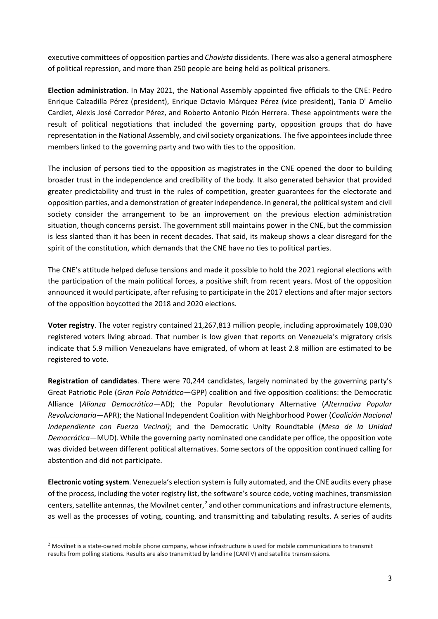executive committees of opposition parties and *Chavista* dissidents. There was also a general atmosphere of political repression, and more than 250 people are being held as political prisoners.

**Election administration**. In May 2021, the National Assembly appointed five officials to the CNE: Pedro Enrique Calzadilla Pérez (president), Enrique Octavio Márquez Pérez (vice president), Tania D' Amelio Cardiet, Alexis José Corredor Pérez, and Roberto Antonio Picón Herrera. These appointments were the result of political negotiations that included the governing party, opposition groups that do have representation in the National Assembly, and civil society organizations. The five appointees include three members linked to the governing party and two with ties to the opposition.

The inclusion of persons tied to the opposition as magistrates in the CNE opened the door to building broader trust in the independence and credibility of the body. It also generated behavior that provided greater predictability and trust in the rules of competition, greater guarantees for the electorate and opposition parties, and a demonstration of greater independence. In general, the political system and civil society consider the arrangement to be an improvement on the previous election administration situation, though concerns persist. The government still maintains power in the CNE, but the commission is less slanted than it has been in recent decades. That said, its makeup shows a clear disregard for the spirit of the constitution, which demands that the CNE have no ties to political parties.

The CNE's attitude helped defuse tensions and made it possible to hold the 2021 regional elections with the participation of the main political forces, a positive shift from recent years. Most of the opposition announced it would participate, after refusing to participate in the 2017 elections and after major sectors of the opposition boycotted the 2018 and 2020 elections.

**Voter registry**. The voter registry contained 21,267,813 million people, including approximately 108,030 registered voters living abroad. That number is low given that reports on Venezuela's migratory crisis indicate that 5.9 million Venezuelans have emigrated, of whom at least 2.8 million are estimated to be registered to vote.

**Registration of candidates**. There were 70,244 candidates, largely nominated by the governing party's Great Patriotic Pole (*Gran Polo Patriótico*—GPP) coalition and five opposition coalitions: the Democratic Alliance (*Alianza Democrática*—AD); the Popular Revolutionary Alternative (*Alternativa Popular Revolucionaria*—APR); the National Independent Coalition with Neighborhood Power (*Coalición Nacional Independiente con Fuerza Vecinal)*; and the Democratic Unity Roundtable (*Mesa de la Unidad Democrática*—MUD). While the governing party nominated one candidate per office, the opposition vote was divided between different political alternatives. Some sectors of the opposition continued calling for abstention and did not participate.

**Electronic voting system**. Venezuela's election system is fully automated, and the CNE audits every phase of the process, including the voter registry list, the software's source code, voting machines, transmission centers, satellite antennas, the Movilnet center,<sup>[2](#page-2-0)</sup> and other communications and infrastructure elements, as well as the processes of voting, counting, and transmitting and tabulating results. A series of audits

<span id="page-2-0"></span><sup>&</sup>lt;sup>2</sup> Movilnet is a state-owned mobile phone company, whose infrastructure is used for mobile communications to transmit results from polling stations. Results are also transmitted by landline (CANTV) and satellite transmissions.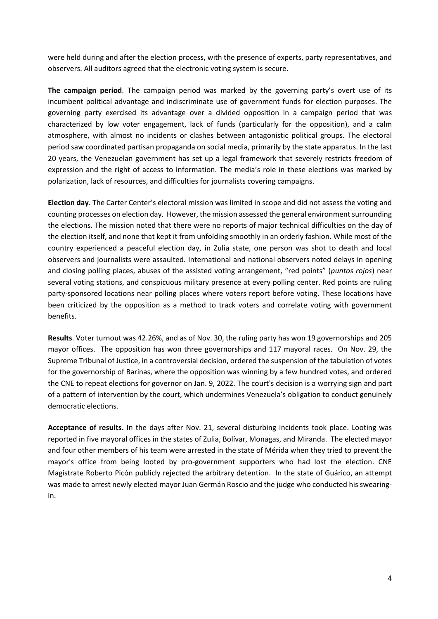were held during and after the election process, with the presence of experts, party representatives, and observers. All auditors agreed that the electronic voting system is secure.

**The campaign period**. The campaign period was marked by the governing party's overt use of its incumbent political advantage and indiscriminate use of government funds for election purposes. The governing party exercised its advantage over a divided opposition in a campaign period that was characterized by low voter engagement, lack of funds (particularly for the opposition), and a calm atmosphere, with almost no incidents or clashes between antagonistic political groups. The electoral period saw coordinated partisan propaganda on social media, primarily by the state apparatus. In the last 20 years, the Venezuelan government has set up a legal framework that severely restricts freedom of expression and the right of access to information. The media's role in these elections was marked by polarization, lack of resources, and difficulties for journalists covering campaigns.

**Election day**. The Carter Center's electoral mission was limited in scope and did not assess the voting and counting processes on election day. However, the mission assessed the general environment surrounding the elections. The mission noted that there were no reports of major technical difficulties on the day of the election itself, and none that kept it from unfolding smoothly in an orderly fashion. While most of the country experienced a peaceful election day, in Zulia state, one person was shot to death and local observers and journalists were assaulted. International and national observers noted delays in opening and closing polling places, abuses of the assisted voting arrangement, "red points" (*puntos rojos*) near several voting stations, and conspicuous military presence at every polling center. Red points are ruling party-sponsored locations near polling places where voters report before voting. These locations have been criticized by the opposition as a method to track voters and correlate voting with government benefits.

**Results**. Voter turnout was 42.26%, and as of Nov. 30, the ruling party has won 19 governorships and 205 mayor offices. The opposition has won three governorships and 117 mayoral races. On Nov. 29, the Supreme Tribunal of Justice, in a controversial decision, ordered the suspension of the tabulation of votes for the governorship of Barinas, where the opposition was winning by a few hundred votes, and ordered the CNE to repeat elections for governor on Jan. 9, 2022. The court's decision is a worrying sign and part of a pattern of intervention by the court, which undermines Venezuela's obligation to conduct genuinely democratic elections.

**Acceptance of results.** In the days after Nov. 21, several disturbing incidents took place. Looting was reported in five mayoral offices in the states of Zulia, Bolívar, Monagas, and Miranda. The elected mayor and four other members of his team were arrested in the state of Mérida when they tried to prevent the mayor's office from being looted by pro-government supporters who had lost the election. CNE Magistrate Roberto Picón publicly rejected the arbitrary detention. In the state of Guárico, an attempt was made to arrest newly elected mayor Juan Germán Roscio and the judge who conducted his swearingin.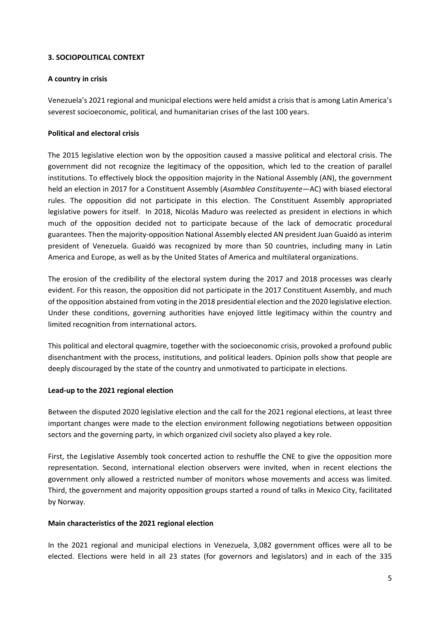# **3. SOCIOPOLITICAL CONTEXT**

## **A country in crisis**

Venezuela's 2021 regional and municipal elections were held amidst a crisis that is among Latin America's severest socioeconomic, political, and humanitarian crises of the last 100 years.

# **Political and electoral crisis**

The 2015 legislative election won by the opposition caused a massive political and electoral crisis. The government did not recognize the legitimacy of the opposition, which led to the creation of parallel institutions. To effectively block the opposition majority in the National Assembly (AN), the government held an election in 2017 for a Constituent Assembly (*Asamblea Constituyente*—AC) with biased electoral rules. The opposition did not participate in this election. The Constituent Assembly appropriated legislative powers for itself. In 2018, Nicolás Maduro was reelected as president in elections in which much of the opposition decided not to participate because of the lack of democratic procedural guarantees. Then the majority-opposition National Assembly elected AN president Juan Guaidó as interim president of Venezuela. Guaidó was recognized by more than 50 countries, including many in Latin America and Europe, as well as by the United States of America and multilateral organizations.

The erosion of the credibility of the electoral system during the 2017 and 2018 processes was clearly evident. For this reason, the opposition did not participate in the 2017 Constituent Assembly, and much of the opposition abstained from voting in the 2018 presidential election and the 2020 legislative election. Under these conditions, governing authorities have enjoyed little legitimacy within the country and limited recognition from international actors.

This political and electoral quagmire, together with the socioeconomic crisis, provoked a profound public disenchantment with the process, institutions, and political leaders. Opinion polls show that people are deeply discouraged by the state of the country and unmotivated to participate in elections.

## **Lead-up to the 2021 regional election**

Between the disputed 2020 legislative election and the call for the 2021 regional elections, at least three important changes were made to the election environment following negotiations between opposition sectors and the governing party, in which organized civil society also played a key role.

First, the Legislative Assembly took concerted action to reshuffle the CNE to give the opposition more representation. Second, international election observers were invited, when in recent elections the government only allowed a restricted number of monitors whose movements and access was limited. Third, the government and majority opposition groups started a round of talks in Mexico City, facilitated by Norway.

## **Main characteristics of the 2021 regional election**

In the 2021 regional and municipal elections in Venezuela, 3,082 government offices were all to be elected. Elections were held in all 23 states (for governors and legislators) and in each of the 335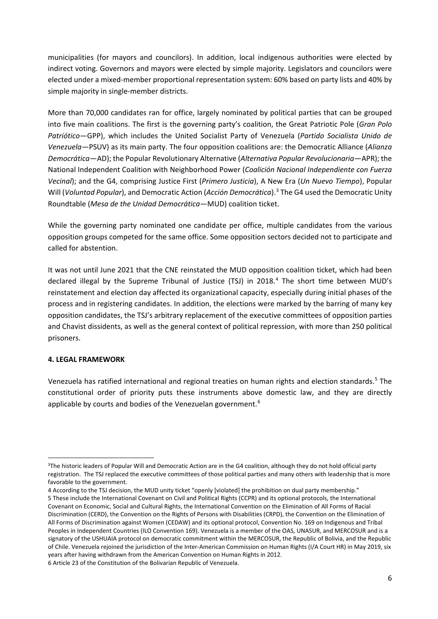municipalities (for mayors and councilors). In addition, local indigenous authorities were elected by indirect voting. Governors and mayors were elected by simple majority. Legislators and councilors were elected under a mixed-member proportional representation system: 60% based on party lists and 40% by simple majority in single-member districts.

More than 70,000 candidates ran for office, largely nominated by political parties that can be grouped into five main coalitions. The first is the governing party's coalition, the Great Patriotic Pole (*Gran Polo Patriótico*—GPP), which includes the United Socialist Party of Venezuela (*Partido Socialista Unido de Venezuela*—PSUV) as its main party. The four opposition coalitions are: the Democratic Alliance (*Alianza Democrática*—AD); the Popular Revolutionary Alternative (*Alternativa Popular Revolucionaria*—APR); the National Independent Coalition with Neighborhood Power (*Coalición Nacional Independiente con Fuerza Vecinal*); and the G4, comprising Justice First (*Primero Justicia*), A New Era (*Un Nuevo Tiempo*), Popular Will (*Voluntad Popular*), and Democratic Action (*Acción Democrática*).[3](#page-5-0) The G4 used the Democratic Unity Roundtable (*Mesa de the Unidad Democrática*—MUD) coalition ticket.

While the governing party nominated one candidate per office, multiple candidates from the various opposition groups competed for the same office. Some opposition sectors decided not to participate and called for abstention.

It was not until June 2021 that the CNE reinstated the MUD opposition coalition ticket, which had been declared illegal by the Supreme Tribunal of Justice (TSJ) in 2018.<sup>[4](#page-5-1)</sup> The short time between MUD's reinstatement and election day affected its organizational capacity, especially during initial phases of the process and in registering candidates. In addition, the elections were marked by the barring of many key opposition candidates, the TSJ's arbitrary replacement of the executive committees of opposition parties and Chavist dissidents, as well as the general context of political repression, with more than 250 political prisoners.

## **4. LEGAL FRAMEWORK**

Venezuela has ratified international and regional treaties on human rights and election standards.[5](#page-5-2) The constitutional order of priority puts these instruments above domestic law, and they are directly applicable by courts and bodies of the Venezuelan government.<sup>[6](#page-5-3)</sup>

<span id="page-5-0"></span><sup>&</sup>lt;sup>3</sup>The historic leaders of Popular Will and Democratic Action are in the G4 coalition, although they do not hold official party registration. The TSJ replaced the executive committees of those political parties and many others with leadership that is more favorable to the government.

<span id="page-5-3"></span><span id="page-5-2"></span><span id="page-5-1"></span><sup>4</sup> According to the TSJ decision, the MUD unity ticket "openly [violated] the prohibition on dual party membership." 5 These include the International Covenant on Civil and Political Rights (CCPR) and its optional protocols, the International Covenant on Economic, Social and Cultural Rights, the International Convention on the Elimination of All Forms of Racial Discrimination (CERD), the Convention on the Rights of Persons with Disabilities (CRPD), the Convention on the Elimination of All Forms of Discrimination against Women (CEDAW) and its optional protocol, Convention No. 169 on Indigenous and Tribal Peoples in Independent Countries (ILO Convention 169). Venezuela is a member of the OAS, UNASUR, and MERCOSUR and is a signatory of the USHUAIA protocol on democratic commitment within the MERCOSUR, the Republic of Bolivia, and the Republic of Chile. Venezuela rejoined the jurisdiction of the Inter-American Commission on Human Rights (I/A Court HR) in May 2019, six years after having withdrawn from the American Convention on Human Rights in 2012. 6 Article 23 of the Constitution of the Bolivarian Republic of Venezuela.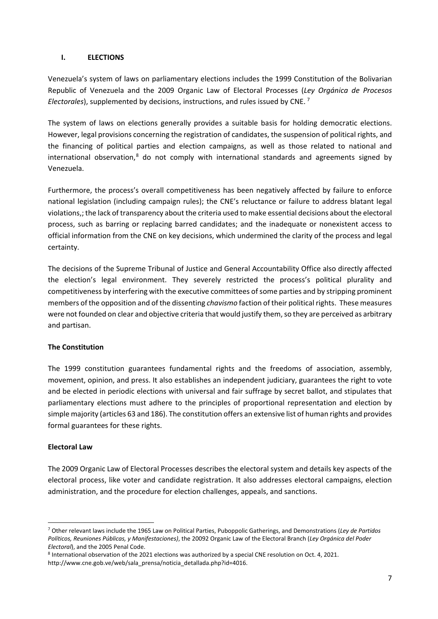#### **I. ELECTIONS**

Venezuela's system of laws on parliamentary elections includes the 1999 Constitution of the Bolivarian Republic of Venezuela and the 2009 Organic Law of Electoral Processes (*Ley Orgánica de Procesos Electorales*), supplemented by decisions, instructions, and rules issued by CNE. [7](#page-6-0)

The system of laws on elections generally provides a suitable basis for holding democratic elections. However, legal provisions concerning the registration of candidates, the suspension of political rights, and the financing of political parties and election campaigns, as well as those related to national and international observation,<sup>[8](#page-6-1)</sup> do not comply with international standards and agreements signed by Venezuela.

Furthermore, the process's overall competitiveness has been negatively affected by failure to enforce national legislation (including campaign rules); the CNE's reluctance or failure to address blatant legal violations,; the lack of transparency about the criteria used to make essential decisions about the electoral process, such as barring or replacing barred candidates; and the inadequate or nonexistent access to official information from the CNE on key decisions, which undermined the clarity of the process and legal certainty.

The decisions of the Supreme Tribunal of Justice and General Accountability Office also directly affected the election's legal environment. They severely restricted the process's political plurality and competitiveness by interfering with the executive committees of some parties and by stripping prominent members of the opposition and of the dissenting *chavismo* faction of their political rights. These measures were not founded on clear and objective criteria that would justify them, so they are perceived as arbitrary and partisan.

## **The Constitution**

The 1999 constitution guarantees fundamental rights and the freedoms of association, assembly, movement, opinion, and press. It also establishes an independent judiciary, guarantees the right to vote and be elected in periodic elections with universal and fair suffrage by secret ballot, and stipulates that parliamentary elections must adhere to the principles of proportional representation and election by simple majority (articles 63 and 186). The constitution offers an extensive list of human rights and provides formal guarantees for these rights.

## **Electoral Law**

The 2009 Organic Law of Electoral Processes describes the electoral system and details key aspects of the electoral process, like voter and candidate registration. It also addresses electoral campaigns, election administration, and the procedure for election challenges, appeals, and sanctions.

<span id="page-6-0"></span><sup>7</sup> Other relevant laws include the 1965 Law on Political Parties, Puboppolic Gatherings, and Demonstrations (*Ley de Partidos Políticos, Reuniones Públicas, y Manifestaciones)*, the 20092 Organic Law of the Electoral Branch (*Ley Orgánica del Poder Electoral*), and the 2005 Penal Code.

<span id="page-6-1"></span><sup>8</sup> International observation of the 2021 elections was authorized by a special CNE resolution on Oct. 4, 2021.

http://www.cne.gob.ve/web/sala\_prensa/noticia\_detallada.php?id=4016.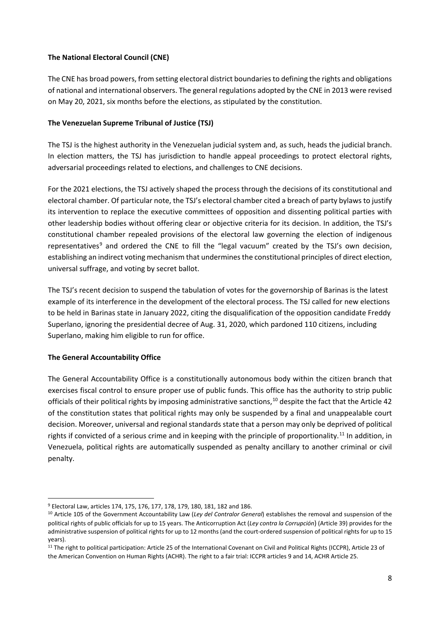# **The National Electoral Council (CNE)**

The CNE has broad powers, from setting electoral district boundariesto defining the rights and obligations of national and international observers. The general regulations adopted by the CNE in 2013 were revised on May 20, 2021, six months before the elections, as stipulated by the constitution.

# **The Venezuelan Supreme Tribunal of Justice (TSJ)**

The TSJ is the highest authority in the Venezuelan judicial system and, as such, heads the judicial branch. In election matters, the TSJ has jurisdiction to handle appeal proceedings to protect electoral rights, adversarial proceedings related to elections, and challenges to CNE decisions.

For the 2021 elections, the TSJ actively shaped the process through the decisions of its constitutional and electoral chamber. Of particular note, the TSJ's electoral chamber cited a breach of party bylaws to justify its intervention to replace the executive committees of opposition and dissenting political parties with other leadership bodies without offering clear or objective criteria for its decision. In addition, the TSJ's constitutional chamber repealed provisions of the electoral law governing the election of indigenous representatives<sup>[9](#page-7-0)</sup> and ordered the CNE to fill the "legal vacuum" created by the TSJ's own decision, establishing an indirect voting mechanism that undermines the constitutional principles of direct election, universal suffrage, and voting by secret ballot.

The TSJ's recent decision to suspend the tabulation of votes for the governorship of Barinas is the latest example of its interference in the development of the electoral process. The TSJ called for new elections to be held in Barinas state in January 2022, citing the disqualification of the opposition candidate Freddy Superlano, ignoring the presidential decree of Aug. 31, 2020, which pardoned 110 citizens, including Superlano, making him eligible to run for office.

# **The General Accountability Office**

The General Accountability Office is a constitutionally autonomous body within the citizen branch that exercises fiscal control to ensure proper use of public funds. This office has the authority to strip public officials of their political rights by imposing administrative sanctions, [10](#page-7-1) despite the fact that the Article 42 of the constitution states that political rights may only be suspended by a final and unappealable court decision. Moreover, universal and regional standards state that a person may only be deprived of political rights if convicted of a serious crime and in keeping with the principle of proportionality.<sup>[11](#page-7-2)</sup> In addition, in Venezuela, political rights are automatically suspended as penalty ancillary to another criminal or civil penalty.

<span id="page-7-0"></span><sup>9</sup> Electoral Law, articles 174, 175, 176, 177, 178, 179, 180, 181, 182 and 186.

<span id="page-7-1"></span><sup>10</sup> Article 105 of the Government Accountability Law (*Ley del Contralor General*) establishes the removal and suspension of the political rights of public officials for up to 15 years. The Anticorruption Act (*Ley contra la Corrupción*) (Article 39) provides for the administrative suspension of political rights for up to 12 months (and the court-ordered suspension of political rights for up to 15 years).

<span id="page-7-2"></span><sup>&</sup>lt;sup>11</sup> The right to political participation: Article 25 of the International Covenant on Civil and Political Rights (ICCPR), Article 23 of the American Convention on Human Rights (ACHR). The right to a fair trial: ICCPR articles 9 and 14, ACHR Article 25.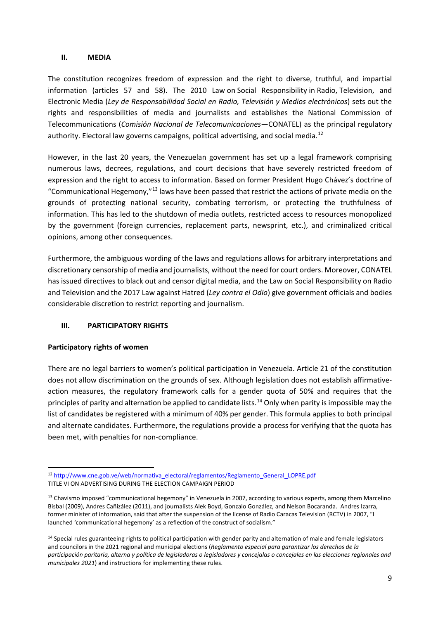#### **II. MEDIA**

The constitution recognizes freedom of expression and the right to diverse, truthful, and impartial information (articles 57 and 58). The 2010 Law on Social Responsibility in Radio, Television, and Electronic Media (*Ley de Responsabilidad Social en Radio, Televisión y Medios electrónicos*) sets out the rights and responsibilities of media and journalists and establishes the National Commission of Telecommunications (*Comisión Nacional de Telecomunicaciones*—CONATEL) as the principal regulatory authority. Electoral law governs campaigns, political advertising, and social media.<sup>[12](#page-8-0)</sup>

However, in the last 20 years, the Venezuelan government has set up a legal framework comprising numerous laws, decrees, regulations, and court decisions that have severely restricted freedom of expression and the right to access to information. Based on former President Hugo Chávez's doctrine of "Communicational Hegemony,"[13](#page-8-1) laws have been passed that restrict the actions of private media on the grounds of protecting national security, combating terrorism, or protecting the truthfulness of information. This has led to the shutdown of media outlets, restricted access to resources monopolized by the government (foreign currencies, replacement parts, newsprint, etc.), and criminalized critical opinions, among other consequences.

Furthermore, the ambiguous wording of the laws and regulations allows for arbitrary interpretations and discretionary censorship of media and journalists, without the need for court orders. Moreover, CONATEL has issued directives to black out and censor digital media, and the Law on Social Responsibility on Radio and Television and the 2017 Law against Hatred (*Ley contra el Odio*) give government officials and bodies considerable discretion to restrict reporting and journalism.

## **III. PARTICIPATORY RIGHTS**

#### **Participatory rights of women**

There are no legal barriers to women's political participation in Venezuela. Article 21 of the constitution does not allow discrimination on the grounds of sex. Although legislation does not establish affirmativeaction measures, the regulatory framework calls for a gender quota of 50% and requires that the principles of parity and alternation be applied to candidate lists.<sup>[14](#page-8-2)</sup> Only when parity is impossible may the list of candidates be registered with a minimum of 40% per gender. This formula applies to both principal and alternate candidates. Furthermore, the regulations provide a process for verifying that the quota has been met, with penalties for non-compliance.

<span id="page-8-0"></span><sup>&</sup>lt;sup>12</sup> [http://www.cne.gob.ve/web/normativa\\_electoral/reglamentos/Reglamento\\_General\\_LOPRE.pdf](http://www.cne.gob.ve/web/normativa_electoral/reglamentos/Reglamento_General_LOPRE.pdf) TITLE VI ON ADVERTISING DURING THE ELECTION CAMPAIGN PERIOD

<span id="page-8-1"></span><sup>&</sup>lt;sup>13</sup> Chavismo imposed "communicational hegemony" in Venezuela in 2007, according to various experts, among them Marcelino Bisbal (2009), Andres Cañizález (2011), and journalists Alek Boyd, Gonzalo González, and Nelson Bocaranda. Andres Izarra, former minister of information, said that after the suspension of the license of Radio Caracas Television (RCTV) in 2007, "I launched 'communicational hegemony' as a reflection of the construct of socialism."

<span id="page-8-2"></span><sup>&</sup>lt;sup>14</sup> Special rules guaranteeing rights to political participation with gender parity and alternation of male and female legislators and councilors in the 2021 regional and municipal elections (*Reglamento especial para garantizar los derechos de la participación paritaria, alterna y política de legisladoras o legisladores y concejalas o concejales en las elecciones regionales and municipales 2021*) and instructions for implementing these rules.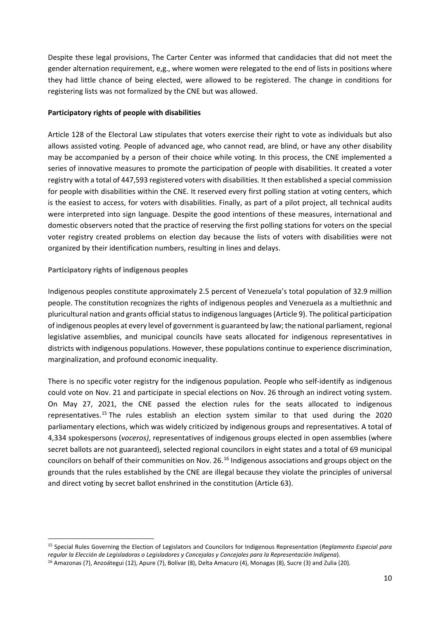Despite these legal provisions, The Carter Center was informed that candidacies that did not meet the gender alternation requirement, e,g., where women were relegated to the end of lists in positions where they had little chance of being elected, were allowed to be registered. The change in conditions for registering lists was not formalized by the CNE but was allowed.

# **Participatory rights of people with disabilities**

Article 128 of the Electoral Law stipulates that voters exercise their right to vote as individuals but also allows assisted voting. People of advanced age, who cannot read, are blind, or have any other disability may be accompanied by a person of their choice while voting. In this process, the CNE implemented a series of innovative measures to promote the participation of people with disabilities. It created a voter registry with a total of 447,593 registered voters with disabilities. It then established a special commission for people with disabilities within the CNE. It reserved every first polling station at voting centers, which is the easiest to access, for voters with disabilities. Finally, as part of a pilot project, all technical audits were interpreted into sign language. Despite the good intentions of these measures, international and domestic observers noted that the practice of reserving the first polling stations for voters on the special voter registry created problems on election day because the lists of voters with disabilities were not organized by their identification numbers, resulting in lines and delays.

# **Participatory rights of indigenous peoples**

Indigenous peoples constitute approximately 2.5 percent of Venezuela's total population of 32.9 million people. The constitution recognizes the rights of indigenous peoples and Venezuela as a multiethnic and pluricultural nation and grants official status to indigenous languages (Article 9). The political participation of indigenous peoples at every level of government is guaranteed by law; the national parliament, regional legislative assemblies, and municipal councils have seats allocated for indigenous representatives in districts with indigenous populations. However, these populations continue to experience discrimination, marginalization, and profound economic inequality.

There is no specific voter registry for the indigenous population. People who self-identify as indigenous could vote on Nov. 21 and participate in special elections on Nov. 26 through an indirect voting system. On May 27, 2021, the CNE passed the election rules for the seats allocated to indigenous representatives.<sup>[15](#page-9-0)</sup> The rules establish an election system similar to that used during the 2020 parliamentary elections, which was widely criticized by indigenous groups and representatives. A total of 4,334 spokespersons (*voceros)*, representatives of indigenous groups elected in open assemblies (where secret ballots are not guaranteed), selected regional councilors in eight states and a total of 69 municipal councilors on behalf of their communities on Nov. 26.[16](#page-9-1) Indigenous associations and groups object on the grounds that the rules established by the CNE are illegal because they violate the principles of universal and direct voting by secret ballot enshrined in the constitution (Article 63).

<span id="page-9-0"></span><sup>15</sup> Special Rules Governing the Election of Legislators and Councilors for Indigenous Representation (*Reglamento Especial para regular la Elección de Legisladoras o Legisladores y Concejalas y Concejales para la Representación Indígena*)*.*

<span id="page-9-1"></span><sup>&</sup>lt;sup>16</sup> Amazonas (7), Anzoátegui (12), Apure (7), Bolívar (8), Delta Amacuro (4), Monagas (8), Sucre (3) and Zulia (20).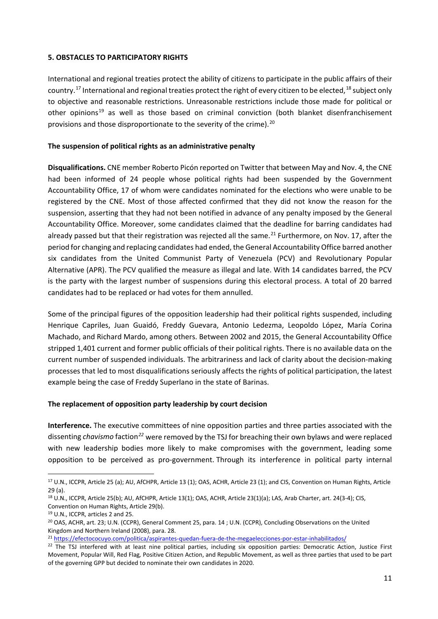## **5. OBSTACLES TO PARTICIPATORY RIGHTS**

International and regional treaties protect the ability of citizens to participate in the public affairs of their country.<sup>[17](#page-10-0)</sup> International and regional treaties protect the right of every citizen to be elected, <sup>[18](#page-10-1)</sup> subject only to objective and reasonable restrictions. Unreasonable restrictions include those made for political or other opinions<sup>[19](#page-10-2)</sup> as well as those based on criminal conviction (both blanket disenfranchisement provisions and those disproportionate to the severity of the crime).<sup>[20](#page-10-3)</sup>

#### **The suspension of political rights as an administrative penalty**

**Disqualifications.** CNE member Roberto Picón reported on Twitter that between May and Nov. 4, the CNE had been informed of 24 people whose political rights had been suspended by the Government Accountability Office, 17 of whom were candidates nominated for the elections who were unable to be registered by the CNE. Most of those affected confirmed that they did not know the reason for the suspension, asserting that they had not been notified in advance of any penalty imposed by the General Accountability Office. Moreover, some candidates claimed that the deadline for barring candidates had already passed but that their registration was rejected all the same.<sup>[21](#page-10-4)</sup> Furthermore, on Nov. 17, after the period for changing and replacing candidates had ended, the General Accountability Office barred another six candidates from the United Communist Party of Venezuela (PCV) and Revolutionary Popular Alternative (APR). The PCV qualified the measure as illegal and late. With 14 candidates barred, the PCV is the party with the largest number of suspensions during this electoral process. A total of 20 barred candidates had to be replaced or had votes for them annulled.

Some of the principal figures of the opposition leadership had their political rights suspended, including Henrique Capriles, Juan Guaidó, Freddy Guevara, Antonio Ledezma, Leopoldo López, María Corina Machado, and Richard Mardo, among others. Between 2002 and 2015, the General Accountability Office stripped 1,401 current and former public officials of their political rights. There is no available data on the current number of suspended individuals. The arbitrariness and lack of clarity about the decision-making processes that led to most disqualifications seriously affects the rights of political participation, the latest example being the case of Freddy Superlano in the state of Barinas.

#### **The replacement of opposition party leadership by court decision**

**Interference.** The executive committees of nine opposition parties and three parties associated with the dissenting *chavismo* faction*[22](#page-10-5)* were removed by the TSJ for breaching their own bylaws and were replaced with new leadership bodies more likely to make compromises with the government, leading some opposition to be perceived as pro-government. Through its interference in political party internal

<span id="page-10-0"></span><sup>17</sup> U.N., ICCPR, Article 25 (a); AU, AfCHPR, Article 13 (1); OAS, ACHR, Article 23 (1); and CIS, Convention on Human Rights, Article 29 (a).

<span id="page-10-1"></span><sup>18</sup> U.N., ICCPR, Article 25(b); AU, AfCHPR, Article 13(1); OAS, ACHR, Article 23(1)(a); LAS, Arab Charter, art. 24(3-4); CIS, Convention on Human Rights, Article 29(b).

<span id="page-10-2"></span><sup>19</sup> U.N., ICCPR, articles 2 and 25.

<span id="page-10-3"></span><sup>&</sup>lt;sup>20</sup> OAS, ACHR, art. 23; U.N. (CCPR), General Comment 25, para. 14; U.N. (CCPR), Concluding Observations on the United Kingdom and Northern Ireland (2008), para. 28.

<span id="page-10-4"></span><sup>&</sup>lt;sup>21</sup> [https://efectococuyo.com/politica/aspirantes-quedan-fuera-de-the-megaelecciones-por-estar-inhabilitados/](https://efectococuyo.com/politica/aspirantes-quedan-fuera-de-las-megaelecciones-por-estar-inhabilitados/)

<span id="page-10-5"></span> $22$  The TSJ interfered with at least nine political parties, including six opposition parties: Democratic Action, Justice First Movement, Popular Will, Red Flag*,* Positive Citizen Action, and Republic Movement, as well as three parties that used to be part of the governing GPP but decided to nominate their own candidates in 2020.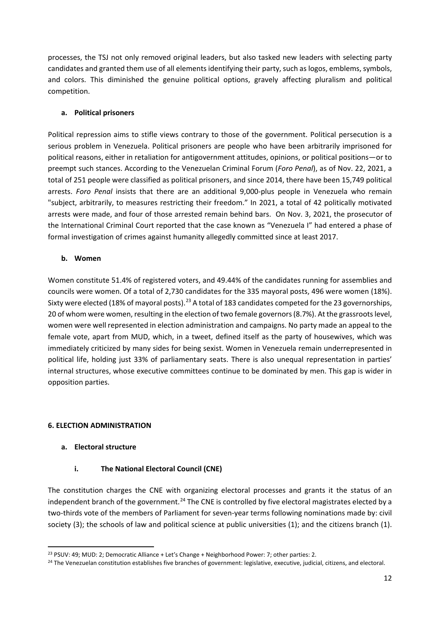processes, the TSJ not only removed original leaders, but also tasked new leaders with selecting party candidates and granted them use of all elements identifying their party, such as logos, emblems, symbols, and colors. This diminished the genuine political options, gravely affecting pluralism and political competition.

# **a. Political prisoners**

Political repression aims to stifle views contrary to those of the government. Political persecution is a serious problem in Venezuela. Political prisoners are people who have been arbitrarily imprisoned for political reasons, either in retaliation for antigovernment attitudes, opinions, or political positions—or to preempt such stances. According to the Venezuelan Criminal Forum (*Foro Penal*), as of Nov. 22, 2021, a total of 251 people were classified as political prisoners, and since 2014, there have been 15,749 political arrests. *Foro Penal* insists that there are an additional 9,000-plus people in Venezuela who remain "subject, arbitrarily, to measures restricting their freedom." In 2021, a total of 42 politically motivated arrests were made, and four of those arrested remain behind bars. On Nov. 3, 2021, the prosecutor of the International Criminal Court reported that the case known as "Venezuela I" had entered a phase of formal investigation of crimes against humanity allegedly committed since at least 2017.

# **b. Women**

Women constitute 51.4% of registered voters, and 49.44% of the candidates running for assemblies and councils were women. Of a total of 2,730 candidates for the 335 mayoral posts, 496 were women (18%). Sixty were elected (18% of mayoral posts).<sup>[23](#page-11-0)</sup> A total of 183 candidates competed for the 23 governorships, 20 of whom were women, resulting in the election of two female governors (8.7%). At the grassroots level, women were well represented in election administration and campaigns. No party made an appeal to the female vote, apart from MUD, which, in a tweet, defined itself as the party of housewives, which was immediately criticized by many sides for being sexist. Women in Venezuela remain underrepresented in political life, holding just 33% of parliamentary seats. There is also unequal representation in parties' internal structures, whose executive committees continue to be dominated by men. This gap is wider in opposition parties.

# **6. ELECTION ADMINISTRATION**

# **a. Electoral structure**

# **i. The National Electoral Council (CNE)**

The constitution charges the CNE with organizing electoral processes and grants it the status of an independent branch of the government.<sup>[24](#page-11-1)</sup> The CNE is controlled by five electoral magistrates elected by a two-thirds vote of the members of Parliament for seven-year terms following nominations made by: civil society (3); the schools of law and political science at public universities (1); and the citizens branch (1).

<span id="page-11-0"></span><sup>&</sup>lt;sup>23</sup> PSUV: 49; MUD: 2; Democratic Alliance + Let's Change + Neighborhood Power: 7; other parties: 2.

<span id="page-11-1"></span><sup>&</sup>lt;sup>24</sup> The Venezuelan constitution establishes five branches of government: legislative, executive, judicial, citizens, and electoral.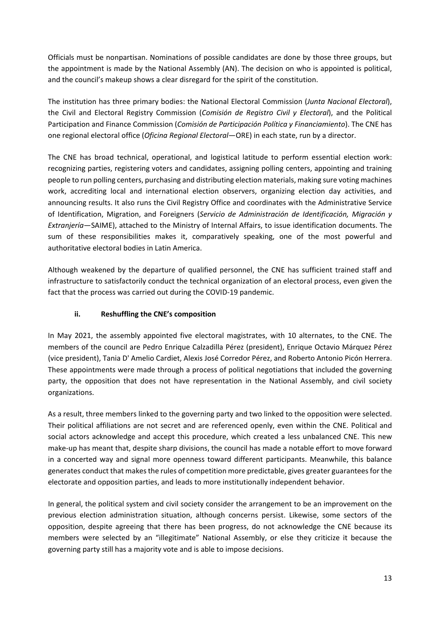Officials must be nonpartisan. Nominations of possible candidates are done by those three groups, but the appointment is made by the National Assembly (AN). The decision on who is appointed is political, and the council's makeup shows a clear disregard for the spirit of the constitution.

The institution has three primary bodies: the National Electoral Commission (*Junta Nacional Electoral*), the Civil and Electoral Registry Commission (*Comisión de Registro Civil y Electoral*), and the Political Participation and Finance Commission (*Comisión de Participación Política y Financiamiento*). The CNE has one regional electoral office (*Oficina Regional Electoral*—ORE) in each state, run by a director.

The CNE has broad technical, operational, and logistical latitude to perform essential election work: recognizing parties, registering voters and candidates, assigning polling centers, appointing and training people to run polling centers, purchasing and distributing election materials, making sure voting machines work, accrediting local and international election observers, organizing election day activities, and announcing results. It also runs the Civil Registry Office and coordinates with the Administrative Service of Identification, Migration, and Foreigners (*Servicio de Administración de Identificación, Migración y Extranjería*—SAIME), attached to the Ministry of Internal Affairs, to issue identification documents. The sum of these responsibilities makes it, comparatively speaking, one of the most powerful and authoritative electoral bodies in Latin America.

Although weakened by the departure of qualified personnel, the CNE has sufficient trained staff and infrastructure to satisfactorily conduct the technical organization of an electoral process, even given the fact that the process was carried out during the COVID-19 pandemic.

# **ii. Reshuffling the CNE's composition**

In May 2021, the assembly appointed five electoral magistrates, with 10 alternates, to the CNE. The members of the council are Pedro Enrique Calzadilla Pérez (president), Enrique Octavio Márquez Pérez (vice president), Tania D' Amelio Cardiet, Alexis José Corredor Pérez, and Roberto Antonio Picón Herrera. These appointments were made through a process of political negotiations that included the governing party, the opposition that does not have representation in the National Assembly, and civil society organizations.

As a result, three members linked to the governing party and two linked to the opposition were selected. Their political affiliations are not secret and are referenced openly, even within the CNE. Political and social actors acknowledge and accept this procedure, which created a less unbalanced CNE. This new make-up has meant that, despite sharp divisions, the council has made a notable effort to move forward in a concerted way and signal more openness toward different participants. Meanwhile, this balance generates conduct that makesthe rules of competition more predictable, gives greater guarantees for the electorate and opposition parties, and leads to more institutionally independent behavior.

In general, the political system and civil society consider the arrangement to be an improvement on the previous election administration situation, although concerns persist. Likewise, some sectors of the opposition, despite agreeing that there has been progress, do not acknowledge the CNE because its members were selected by an "illegitimate" National Assembly, or else they criticize it because the governing party still has a majority vote and is able to impose decisions.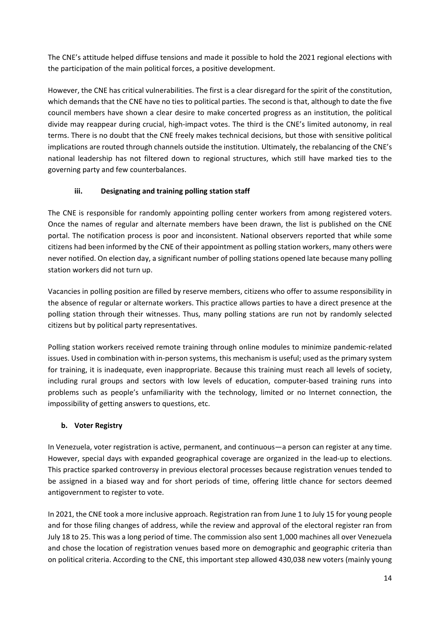The CNE's attitude helped diffuse tensions and made it possible to hold the 2021 regional elections with the participation of the main political forces, a positive development.

However, the CNE has critical vulnerabilities. The first is a clear disregard for the spirit of the constitution, which demands that the CNE have no ties to political parties. The second is that, although to date the five council members have shown a clear desire to make concerted progress as an institution, the political divide may reappear during crucial, high-impact votes. The third is the CNE's limited autonomy, in real terms. There is no doubt that the CNE freely makes technical decisions, but those with sensitive political implications are routed through channels outside the institution. Ultimately, the rebalancing of the CNE's national leadership has not filtered down to regional structures, which still have marked ties to the governing party and few counterbalances.

# **iii. Designating and training polling station staff**

The CNE is responsible for randomly appointing polling center workers from among registered voters. Once the names of regular and alternate members have been drawn, the list is published on the CNE portal. The notification process is poor and inconsistent. National observers reported that while some citizens had been informed by the CNE of their appointment as polling station workers, many others were never notified. On election day, a significant number of polling stations opened late because many polling station workers did not turn up.

Vacancies in polling position are filled by reserve members, citizens who offer to assume responsibility in the absence of regular or alternate workers. This practice allows parties to have a direct presence at the polling station through their witnesses. Thus, many polling stations are run not by randomly selected citizens but by political party representatives.

Polling station workers received remote training through online modules to minimize pandemic-related issues. Used in combination with in-person systems, this mechanism is useful; used as the primary system for training, it is inadequate, even inappropriate. Because this training must reach all levels of society, including rural groups and sectors with low levels of education, computer-based training runs into problems such as people's unfamiliarity with the technology, limited or no Internet connection, the impossibility of getting answers to questions, etc.

## **b. Voter Registry**

In Venezuela, voter registration is active, permanent, and continuous—a person can register at any time. However, special days with expanded geographical coverage are organized in the lead-up to elections. This practice sparked controversy in previous electoral processes because registration venues tended to be assigned in a biased way and for short periods of time, offering little chance for sectors deemed antigovernment to register to vote.

In 2021, the CNE took a more inclusive approach. Registration ran from June 1 to July 15 for young people and for those filing changes of address, while the review and approval of the electoral register ran from July 18 to 25. This was a long period of time. The commission also sent 1,000 machines all over Venezuela and chose the location of registration venues based more on demographic and geographic criteria than on political criteria. According to the CNE, this important step allowed 430,038 new voters (mainly young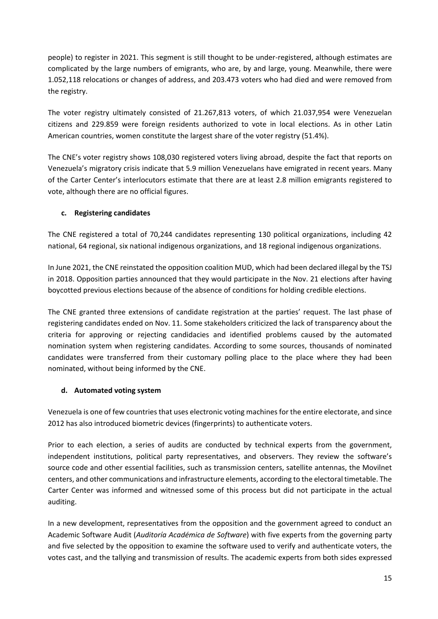people) to register in 2021. This segment is still thought to be under-registered, although estimates are complicated by the large numbers of emigrants, who are, by and large, young. Meanwhile, there were 1.052,118 relocations or changes of address, and 203.473 voters who had died and were removed from the registry.

The voter registry ultimately consisted of 21.267,813 voters, of which 21.037,954 were Venezuelan citizens and 229.859 were foreign residents authorized to vote in local elections. As in other Latin American countries, women constitute the largest share of the voter registry (51.4%).

The CNE's voter registry shows 108,030 registered voters living abroad, despite the fact that reports on Venezuela's migratory crisis indicate that 5.9 million Venezuelans have emigrated in recent years. Many of the Carter Center's interlocutors estimate that there are at least 2.8 million emigrants registered to vote, although there are no official figures.

# **c. Registering candidates**

The CNE registered a total of 70,244 candidates representing 130 political organizations, including 42 national, 64 regional, six national indigenous organizations, and 18 regional indigenous organizations.

In June 2021, the CNE reinstated the opposition coalition MUD, which had been declared illegal by the TSJ in 2018. Opposition parties announced that they would participate in the Nov. 21 elections after having boycotted previous elections because of the absence of conditions for holding credible elections.

The CNE granted three extensions of candidate registration at the parties' request. The last phase of registering candidates ended on Nov. 11. Some stakeholders criticized the lack of transparency about the criteria for approving or rejecting candidacies and identified problems caused by the automated nomination system when registering candidates. According to some sources, thousands of nominated candidates were transferred from their customary polling place to the place where they had been nominated, without being informed by the CNE.

## **d. Automated voting system**

Venezuela is one of few countries that uses electronic voting machines for the entire electorate, and since 2012 has also introduced biometric devices (fingerprints) to authenticate voters.

Prior to each election, a series of audits are conducted by technical experts from the government, independent institutions, political party representatives, and observers. They review the software's source code and other essential facilities, such as transmission centers, satellite antennas, the Movilnet centers, and other communications and infrastructure elements, according to the electoral timetable. The Carter Center was informed and witnessed some of this process but did not participate in the actual auditing.

In a new development, representatives from the opposition and the government agreed to conduct an Academic Software Audit (*Auditoría Académica de Software*) with five experts from the governing party and five selected by the opposition to examine the software used to verify and authenticate voters, the votes cast, and the tallying and transmission of results. The academic experts from both sides expressed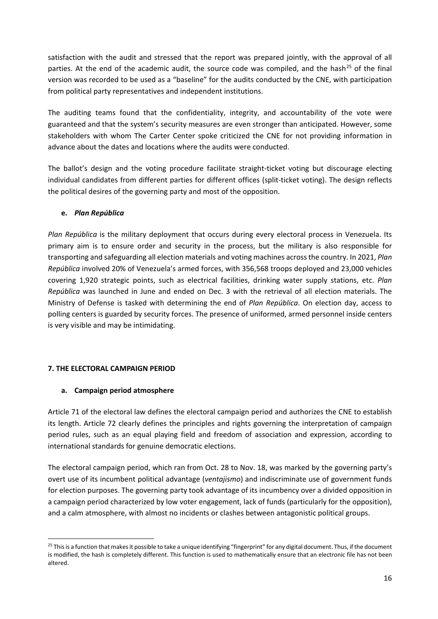satisfaction with the audit and stressed that the report was prepared jointly, with the approval of all parties. At the end of the academic audit, the source code was compiled, and the hash<sup>[25](#page-15-0)</sup> of the final version was recorded to be used as a "baseline" for the audits conducted by the CNE, with participation from political party representatives and independent institutions.

The auditing teams found that the confidentiality, integrity, and accountability of the vote were guaranteed and that the system's security measures are even stronger than anticipated. However, some stakeholders with whom The Carter Center spoke criticized the CNE for not providing information in advance about the dates and locations where the audits were conducted.

The ballot's design and the voting procedure facilitate straight-ticket voting but discourage electing individual candidates from different parties for different offices (split-ticket voting). The design reflects the political desires of the governing party and most of the opposition.

# **e.** *Plan República*

*Plan República* is the military deployment that occurs during every electoral process in Venezuela. Its primary aim is to ensure order and security in the process, but the military is also responsible for transporting and safeguarding all election materials and voting machines across the country. In 2021, *Plan República* involved 20% of Venezuela's armed forces, with 356,568 troops deployed and 23,000 vehicles covering 1,920 strategic points, such as electrical facilities, drinking water supply stations, etc. *Plan República* was launched in June and ended on Dec. 3 with the retrieval of all election materials. The Ministry of Defense is tasked with determining the end of *Plan República*. On election day, access to polling centers is guarded by security forces. The presence of uniformed, armed personnel inside centers is very visible and may be intimidating.

# **7. THE ELECTORAL CAMPAIGN PERIOD**

# **a. Campaign period atmosphere**

Article 71 of the electoral law defines the electoral campaign period and authorizes the CNE to establish its length. Article 72 clearly defines the principles and rights governing the interpretation of campaign period rules, such as an equal playing field and freedom of association and expression, according to international standards for genuine democratic elections.

The electoral campaign period, which ran from Oct. 28 to Nov. 18, was marked by the governing party's overt use of its incumbent political advantage (*ventajismo*) and indiscriminate use of government funds for election purposes. The governing party took advantage of its incumbency over a divided opposition in a campaign period characterized by low voter engagement, lack of funds (particularly for the opposition), and a calm atmosphere, with almost no incidents or clashes between antagonistic political groups.

<span id="page-15-0"></span><sup>&</sup>lt;sup>25</sup> This is a function that makes it possible to take a unique identifying "fingerprint" for any digital document. Thus, if the document is modified, the hash is completely different. This function is used to mathematically ensure that an electronic file has not been altered.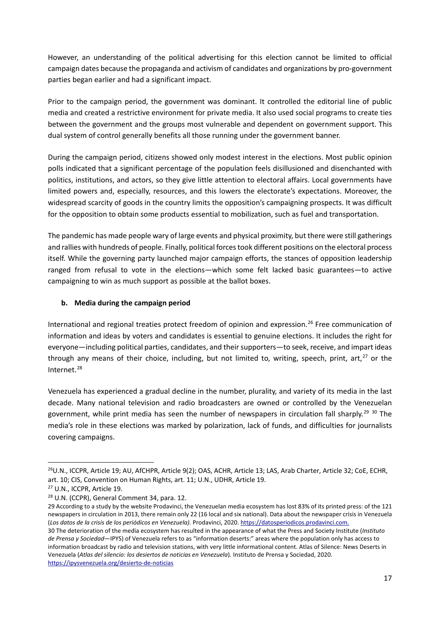However, an understanding of the political advertising for this election cannot be limited to official campaign dates because the propaganda and activism of candidates and organizations by pro-government parties began earlier and had a significant impact.

Prior to the campaign period, the government was dominant. It controlled the editorial line of public media and created a restrictive environment for private media. It also used social programs to create ties between the government and the groups most vulnerable and dependent on government support. This dual system of control generally benefits all those running under the government banner.

During the campaign period, citizens showed only modest interest in the elections. Most public opinion polls indicated that a significant percentage of the population feels disillusioned and disenchanted with politics, institutions, and actors, so they give little attention to electoral affairs. Local governments have limited powers and, especially, resources, and this lowers the electorate's expectations. Moreover, the widespread scarcity of goods in the country limits the opposition's campaigning prospects. It was difficult for the opposition to obtain some products essential to mobilization, such as fuel and transportation.

The pandemic has made people wary of large events and physical proximity, but there were still gatherings and rallies with hundreds of people. Finally, political forces took different positions on the electoral process itself. While the governing party launched major campaign efforts, the stances of opposition leadership ranged from refusal to vote in the elections—which some felt lacked basic guarantees—to active campaigning to win as much support as possible at the ballot boxes.

# **b. Media during the campaign period**

International and regional treaties protect freedom of opinion and expression. [26](#page-16-0) Free communication of information and ideas by voters and candidates is essential to genuine elections. It includes the right for everyone—including political parties, candidates, and their supporters—to seek, receive, and impart ideas through any means of their choice, including, but not limited to, writing, speech, print, art, $27$  or the Internet. [28](#page-16-2)

Venezuela has experienced a gradual decline in the number, plurality, and variety of its media in the last decade. Many national television and radio broadcasters are owned or controlled by the Venezuelan government, while print media has seen the number of newspapers in circulation fall sharply.<sup>[29](#page-16-3) [30](#page-16-4)</sup> The media's role in these elections was marked by polarization, lack of funds, and difficulties for journalists covering campaigns.

<span id="page-16-0"></span><sup>&</sup>lt;sup>26</sup>U.N., ICCPR, Article 19; AU, AfCHPR, Article 9(2); OAS, ACHR, Article 13; LAS, Arab Charter, Article 32; CoE, ECHR, art. 10; CIS, Convention on Human Rights, art. 11; U.N., UDHR, Article 19.

<span id="page-16-1"></span><sup>27</sup> U.N., ICCPR, Article 19.

<span id="page-16-2"></span><sup>28</sup> U.N. (CCPR), General Comment 34, para. 12.

<span id="page-16-3"></span><sup>29</sup> According to a study by the website Prodavinci, the Venezuelan media ecosystem has lost 83% of its printed press: of the 121 newspapers in circulation in 2013, there remain only 22 (16 local and six national). Data about the newspaper crisis in Venezuela (*Los datos de la crisis de los periódicos en Venezuela).* Prodavinci, 2020[. https://datosperiodicos.prodavinci.com.](https://datosperiodicos.prodavinci.com/) 

<span id="page-16-4"></span><sup>30</sup> The deterioration of the media ecosystem has resulted in the appearance of what the Press and Society Institute (*Instituto de Prensa y Sociedad*—IPYS) of Venezuela refers to as "information deserts:" areas where the population only has access to information broadcast by radio and television stations, with very little informational content. Atlas of Silence: News Deserts in Venezuela (*Atlas del silencio: los desiertos de noticias en Venezuela*)*.* Instituto de Prensa y Sociedad, 2020. [https://ipysvenezuela.org/desierto-de-noticias](https://ipysvenezuela.org/desierto-de-noticias/)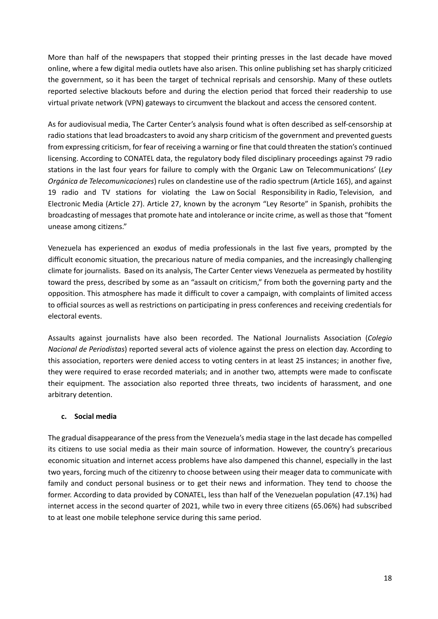More than half of the newspapers that stopped their printing presses in the last decade have moved online, where a few digital media outlets have also arisen. This online publishing set has sharply criticized the government, so it has been the target of technical reprisals and censorship. Many of these outlets reported selective blackouts before and during the election period that forced their readership to use virtual private network (VPN) gateways to circumvent the blackout and access the censored content.

As for audiovisual media, The Carter Center's analysis found what is often described as self-censorship at radio stations that lead broadcasters to avoid any sharp criticism of the government and prevented guests from expressing criticism, for fear of receiving a warning or fine that could threaten the station's continued licensing. According to CONATEL data, the regulatory body filed disciplinary proceedings against 79 radio stations in the last four years for failure to comply with the Organic Law on Telecommunications' (*Ley Orgánica de Telecomunicaciones*) rules on clandestine use of the radio spectrum (Article 165), and against 19 radio and TV stations for violating the Law on Social Responsibility in Radio, Television, and Electronic Media (Article 27). Article 27, known by the acronym "Ley Resorte" in Spanish, prohibits the broadcasting of messages that promote hate and intolerance or incite crime, as well asthose that "foment unease among citizens."

Venezuela has experienced an exodus of media professionals in the last five years, prompted by the difficult economic situation, the precarious nature of media companies, and the increasingly challenging climate for journalists. Based on its analysis, The Carter Center views Venezuela as permeated by hostility toward the press, described by some as an "assault on criticism," from both the governing party and the opposition. This atmosphere has made it difficult to cover a campaign, with complaints of limited access to official sources as well as restrictions on participating in press conferences and receiving credentials for electoral events.

Assaults against journalists have also been recorded. The National Journalists Association (*Colegio Nacional de Periodistas*) reported several acts of violence against the press on election day. According to this association, reporters were denied access to voting centers in at least 25 instances; in another five, they were required to erase recorded materials; and in another two, attempts were made to confiscate their equipment. The association also reported three threats, two incidents of harassment, and one arbitrary detention.

## **c. Social media**

The gradual disappearance of the press from the Venezuela's media stage in the last decade has compelled its citizens to use social media as their main source of information. However, the country's precarious economic situation and internet access problems have also dampened this channel, especially in the last two years, forcing much of the citizenry to choose between using their meager data to communicate with family and conduct personal business or to get their news and information. They tend to choose the former. According to data provided by CONATEL, less than half of the Venezuelan population (47.1%) had internet access in the second quarter of 2021, while two in every three citizens (65.06%) had subscribed to at least one mobile telephone service during this same period.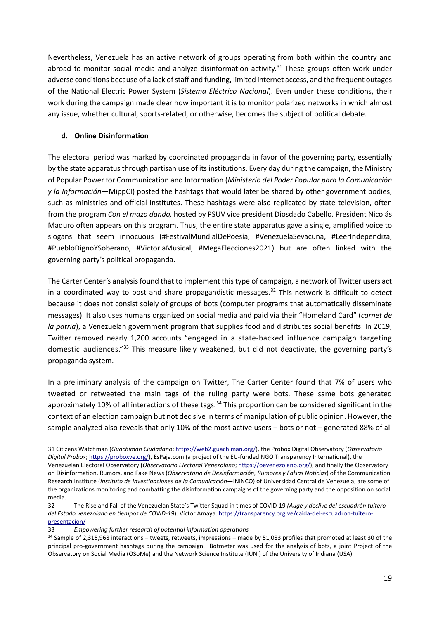Nevertheless, Venezuela has an active network of groups operating from both within the country and abroad to monitor social media and analyze disinformation activity.<sup>[31](#page-18-0)</sup> These groups often work under adverse conditions because of a lack of staff and funding, limited internet access, and the frequent outages of the National Electric Power System (*Sistema Eléctrico Nacional*). Even under these conditions, their work during the campaign made clear how important it is to monitor polarized networks in which almost any issue, whether cultural, sports-related, or otherwise, becomes the subject of political debate.

# **d. Online Disinformation**

The electoral period was marked by coordinated propaganda in favor of the governing party, essentially by the state apparatus through partisan use of its institutions. Every day during the campaign, the Ministry of Popular Power for Communication and Information (*Ministerio del Poder Popular para la Comunicación y la Información—*MippCI) posted the hashtags that would later be shared by other government bodies, such as ministries and official institutes. These hashtags were also replicated by state television, often from the program *Con el mazo dando,* hosted by PSUV vice president Diosdado Cabello. President Nicolás Maduro often appears on this program. Thus, the entire state apparatus gave a single, amplified voice to slogans that seem innocuous (#FestivalMundialDePoesía, #VenezuelaSevacuna, #LeerIndependiza, #PuebloDignoYSoberano, #VictoriaMusical, #MegaElecciones2021) but are often linked with the governing party's political propaganda.

The Carter Center's analysis found that to implement this type of campaign, a network of Twitter users act in a coordinated way to post and share propagandistic messages.<sup>[32](#page-18-1)</sup> This network is difficult to detect because it does not consist solely of groups of bots (computer programs that automatically disseminate messages). It also uses humans organized on social media and paid via their "Homeland Card" (*carnet de la patria*), a Venezuelan government program that supplies food and distributes social benefits. In 2019, Twitter removed nearly 1,200 accounts "engaged in a state-backed influence campaign targeting domestic audiences."[33](#page-18-2) This measure likely weakened, but did not deactivate, the governing party's propaganda system.

In a preliminary analysis of the campaign on Twitter, The Carter Center found that 7% of users who tweeted or retweeted the main tags of the ruling party were bots. These same bots generated approximately 10% of all interactions of these tags.<sup>[34](#page-18-3)</sup> This proportion can be considered significant in the context of an election campaign but not decisive in terms of manipulation of public opinion. However, the sample analyzed also reveals that only 10% of the most active users – bots or not – generated 88% of all

<span id="page-18-0"></span><sup>31</sup> Citizens Watchman (*Guachimán Ciudadano*; [https://web2.guachiman.org/\)](https://web2.guachiman.org/), the Probox Digital Observatory (*Observatorio Digital Probox*[; https://proboxve.org/\)](https://proboxve.org/), EsPaja.com (a project of the EU-funded NGO Transparency International), the Venezuelan Electoral Observatory (*Observatorio Electoral Venezolano*[; https://oevenezolano.org/\)](https://oevenezolano.org/), and finally the Observatory on Disinformation, Rumors, and Fake News (*Observatorio de Desinformación, Rumores y Falsas Noticias*) of the Communication Research Institute (*Instituto de Investigaciones de la Comunicación*—ININCO) of Universidad Central de Venezuela, are some of the organizations monitoring and combatting the disinformation campaigns of the governing party and the opposition on social media.

<span id="page-18-1"></span><sup>32</sup> The Rise and Fall of the Venezuelan State's Twitter Squad in times of COVID-19 *(Auge y declive del escuadrón tuitero del Estado venezolano en tiempos de COVID-19*). Víctor Amaya[. https://transparency.org.ve/caida-del-escuadron-tuitero](https://transparencia.org.ve/caida-del-escuadron-tuitero-presentacion/)[presentacion/](https://transparencia.org.ve/caida-del-escuadron-tuitero-presentacion/)

<span id="page-18-2"></span><sup>33</sup> *Empowering further research of potential information operations*

<span id="page-18-3"></span><sup>34</sup> Sample of 2,315,968 interactions – tweets, retweets, impressions – made by 51,083 profiles that promoted at least 30 of the principal pro-government hashtags during the campaign. Botmeter was used for the analysis of bots, a joint Project of the Observatory on Social Media (OSoMe) and the Network Science Institute (IUNI) of the University of Indiana (USA).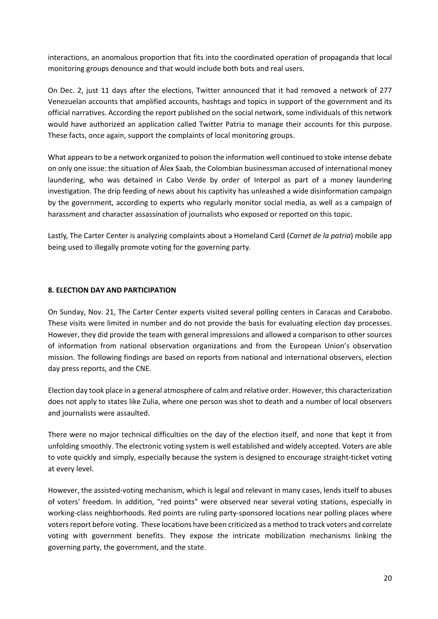interactions, an anomalous proportion that fits into the coordinated operation of propaganda that local monitoring groups denounce and that would include both bots and real users.

On Dec. 2, just 11 days after the elections, Twitter announced that it had removed a network of 277 Venezuelan accounts that amplified accounts, hashtags and topics in support of the government and its official narratives. According the report published on the social network, some individuals of this network would have authorized an application called Twitter Patria to manage their accounts for this purpose. These facts, once again, support the complaints of local monitoring groups.

What appears to be a network organized to poison the information well continued to stoke intense debate on only one issue: the situation of Álex Saab, the Colombian businessman accused of international money laundering, who was detained in Cabo Verde by order of Interpol as part of a money laundering investigation. The drip feeding of news about his captivity has unleashed a wide disinformation campaign by the government, according to experts who regularly monitor social media, as well as a campaign of harassment and character assassination of journalists who exposed or reported on this topic.

Lastly, The Carter Center is analyzing complaints about a Homeland Card (*Carnet de la patria*) mobile app being used to illegally promote voting for the governing party.

## **8. ELECTION DAY AND PARTICIPATION**

On Sunday, Nov. 21, The Carter Center experts visited several polling centers in Caracas and Carabobo. These visits were limited in number and do not provide the basis for evaluating election day processes. However, they did provide the team with general impressions and allowed a comparison to other sources of information from national observation organizations and from the European Union's observation mission. The following findings are based on reports from national and international observers, election day press reports, and the CNE.

Election day took place in a general atmosphere of calm and relative order. However, this characterization does not apply to states like Zulia, where one person was shot to death and a number of local observers and journalists were assaulted.

There were no major technical difficulties on the day of the election itself, and none that kept it from unfolding smoothly. The electronic voting system is well established and widely accepted. Voters are able to vote quickly and simply, especially because the system is designed to encourage straight-ticket voting at every level.

However, the assisted-voting mechanism, which is legal and relevant in many cases, lends itself to abuses of voters' freedom. In addition, "red points" were observed near several voting stations, especially in working-class neighborhoods. Red points are ruling party-sponsored locations near polling places where voters report before voting. These locations have been criticized as a method to track voters and correlate voting with government benefits. They expose the intricate mobilization mechanisms linking the governing party, the government, and the state.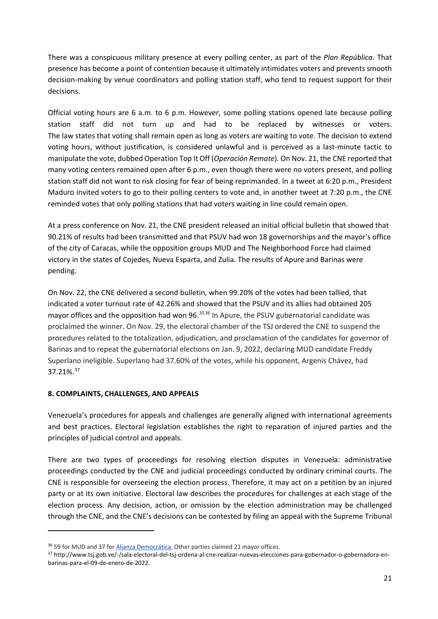There was a conspicuous military presence at every polling center, as part of the *Plan República*. That presence has become a point of contention because it ultimately intimidates voters and prevents smooth decision-making by venue coordinators and polling station staff, who tend to request support for their decisions.

Official voting hours are 6 a.m. to 6 p.m. However, some polling stations opened late because polling station staff did not turn up and had to be replaced by witnesses or voters. The law states that voting shall remain open as long as voters are waiting to vote. The decision to extend voting hours, without justification, is considered unlawful and is perceived as a last-minute tactic to manipulate the vote, dubbed Operation Top It Off (*Operación Remate*)*.* On Nov. 21, the CNE reported that many voting centers remained open after 6 p.m., even though there were no voters present, and polling station staff did not want to risk closing for fear of being reprimanded. In a tweet at 6:20 p.m., President Maduro invited voters to go to their polling centers to vote and, in another tweet at 7:20 p.m., the CNE reminded votes that only polling stations that had voters waiting in line could remain open.

At a press conference on Nov. 21, the CNE president released an initial official bulletin that showed that 90.21% of results had been transmitted and that PSUV had won 18 governorships and the mayor's office of the city of Caracas, while the opposition groups MUD and The Neighborhood Force had claimed victory in the states of Cojedes, Nueva Esparta, and Zulia. The results of Apure and Barinas were pending.

On Nov. 22, the CNE delivered a second bulletin, when 99.20% of the votes had been tallied, that indicated a voter turnout rate of 42.26% and showed that the PSUV and its allies had obtained 205 mayor offices and the opposition had won 96.<sup>[35](#page-20-0)[36](#page-20-1)</sup> In Apure, the PSUV gubernatorial candidate was proclaimed the winner. On Nov. 29, the electoral chamber of the TSJ ordered the CNE to suspend the procedures related to the totalization, adjudication, and proclamation of the candidates for governor of Barinas and to repeat the gubernatorial elections on Jan. 9, 2022, declaring MUD candidate Freddy Superlano ineligible. Superlano had 37.60% of the votes, while his opponent, Argenis Chávez, had 37.21%.[37](#page-20-2)

# **8. COMPLAINTS, CHALLENGES, AND APPEALS**

Venezuela's procedures for appeals and challenges are generally aligned with international agreements and best practices. Electoral legislation establishes the right to reparation of injured parties and the principles of judicial control and appeals.

There are two types of proceedings for resolving election disputes in Venezuela: administrative proceedings conducted by the CNE and judicial proceedings conducted by ordinary criminal courts. The CNE is responsible for overseeing the election process. Therefore, it may act on a petition by an injured party or at its own initiative. Electoral law describes the procedures for challenges at each stage of the election process. Any decision, action, or omission by the election administration may be challenged through the CNE, and the CNE's decisions can be contested by filing an appeal with the Supreme Tribunal

<span id="page-20-1"></span><span id="page-20-0"></span><sup>&</sup>lt;sup>36</sup> 59 for MUD and 37 for [Alianza Democrática.](https://es.wikipedia.org/wiki/Alianza_Democr%C3%A1tica_(Venezuela)) Other parties claimed 21 mayor offices.

<span id="page-20-2"></span><sup>37</sup> http://www.tsj.gob.ve/-/sala-electoral-del-tsj-ordena-al-cne-realizar-nuevas-elecciones-para-gobernador-o-gobernadora-enbarinas-para-el-09-de-enero-de-2022.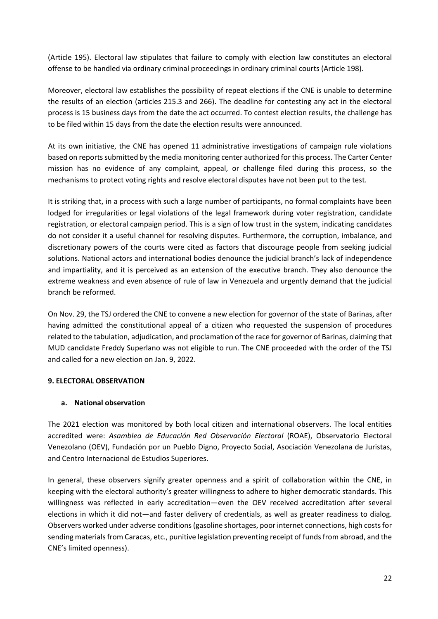(Article 195). Electoral law stipulates that failure to comply with election law constitutes an electoral offense to be handled via ordinary criminal proceedings in ordinary criminal courts (Article 198).

Moreover, electoral law establishes the possibility of repeat elections if the CNE is unable to determine the results of an election (articles 215.3 and 266). The deadline for contesting any act in the electoral process is 15 business days from the date the act occurred. To contest election results, the challenge has to be filed within 15 days from the date the election results were announced.

At its own initiative, the CNE has opened 11 administrative investigations of campaign rule violations based on reports submitted by the media monitoring center authorized for this process. The Carter Center mission has no evidence of any complaint, appeal, or challenge filed during this process, so the mechanisms to protect voting rights and resolve electoral disputes have not been put to the test.

It is striking that, in a process with such a large number of participants, no formal complaints have been lodged for irregularities or legal violations of the legal framework during voter registration, candidate registration, or electoral campaign period. This is a sign of low trust in the system, indicating candidates do not consider it a useful channel for resolving disputes. Furthermore, the corruption, imbalance, and discretionary powers of the courts were cited as factors that discourage people from seeking judicial solutions. National actors and international bodies denounce the judicial branch's lack of independence and impartiality, and it is perceived as an extension of the executive branch. They also denounce the extreme weakness and even absence of rule of law in Venezuela and urgently demand that the judicial branch be reformed.

On Nov. 29, the TSJ ordered the CNE to convene a new election for governor of the state of Barinas, after having admitted the constitutional appeal of a citizen who requested the suspension of procedures related to the tabulation, adjudication, and proclamation of the race for governor of Barinas, claiming that MUD candidate Freddy Superlano was not eligible to run. The CNE proceeded with the order of the TSJ and called for a new election on Jan. 9, 2022.

## **9. ELECTORAL OBSERVATION**

## **a. National observation**

The 2021 election was monitored by both local citizen and international observers. The local entities accredited were: *Asamblea de Educación Red Observación Electoral* (ROAE), Observatorio Electoral Venezolano (OEV), Fundación por un Pueblo Digno, Proyecto Social, Asociación Venezolana de Juristas, and Centro Internacional de Estudios Superiores.

In general, these observers signify greater openness and a spirit of collaboration within the CNE, in keeping with the electoral authority's greater willingness to adhere to higher democratic standards. This willingness was reflected in early accreditation—even the OEV received accreditation after several elections in which it did not—and faster delivery of credentials, as well as greater readiness to dialog. Observers worked under adverse conditions (gasoline shortages, poor internet connections, high costs for sending materials from Caracas, etc., punitive legislation preventing receipt of funds from abroad, and the CNE's limited openness).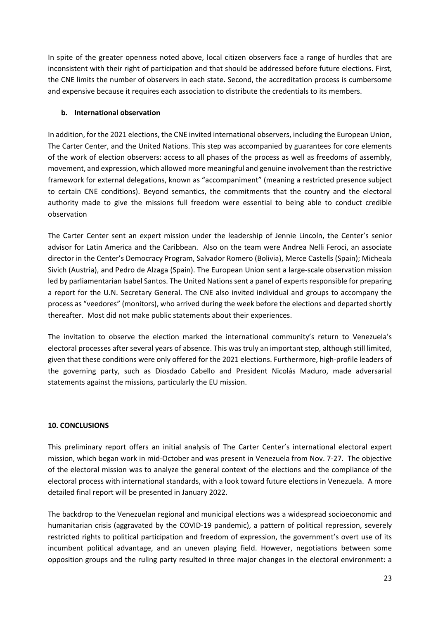In spite of the greater openness noted above, local citizen observers face a range of hurdles that are inconsistent with their right of participation and that should be addressed before future elections. First, the CNE limits the number of observers in each state. Second, the accreditation process is cumbersome and expensive because it requires each association to distribute the credentials to its members.

## **b. International observation**

In addition, for the 2021 elections, the CNE invited international observers, including the European Union, The Carter Center, and the United Nations. This step was accompanied by guarantees for core elements of the work of election observers: access to all phases of the process as well as freedoms of assembly, movement, and expression, which allowed more meaningful and genuine involvement than the restrictive framework for external delegations, known as "accompaniment" (meaning a restricted presence subject to certain CNE conditions). Beyond semantics, the commitments that the country and the electoral authority made to give the missions full freedom were essential to being able to conduct credible observation

The Carter Center sent an expert mission under the leadership of Jennie Lincoln, the Center's senior advisor for Latin America and the Caribbean. Also on the team were Andrea Nelli Feroci, an associate director in the Center's Democracy Program, Salvador Romero (Bolivia), Merce Castells (Spain); Micheala Sivich (Austria), and Pedro de Alzaga (Spain). The European Union sent a large-scale observation mission led by parliamentarian Isabel Santos. The United Nations sent a panel of experts responsible for preparing a report for the U.N. Secretary General. The CNE also invited individual and groups to accompany the process as "veedores" (monitors), who arrived during the week before the elections and departed shortly thereafter. Most did not make public statements about their experiences.

The invitation to observe the election marked the international community's return to Venezuela's electoral processes after several years of absence. This was truly an important step, although still limited, given that these conditions were only offered for the 2021 elections. Furthermore, high-profile leaders of the governing party, such as Diosdado Cabello and President Nicolás Maduro, made adversarial statements against the missions, particularly the EU mission.

## **10. CONCLUSIONS**

This preliminary report offers an initial analysis of The Carter Center's international electoral expert mission, which began work in mid-October and was present in Venezuela from Nov. 7-27. The objective of the electoral mission was to analyze the general context of the elections and the compliance of the electoral process with international standards, with a look toward future elections in Venezuela. A more detailed final report will be presented in January 2022.

The backdrop to the Venezuelan regional and municipal elections was a widespread socioeconomic and humanitarian crisis (aggravated by the COVID-19 pandemic), a pattern of political repression, severely restricted rights to political participation and freedom of expression, the government's overt use of its incumbent political advantage, and an uneven playing field. However, negotiations between some opposition groups and the ruling party resulted in three major changes in the electoral environment: a